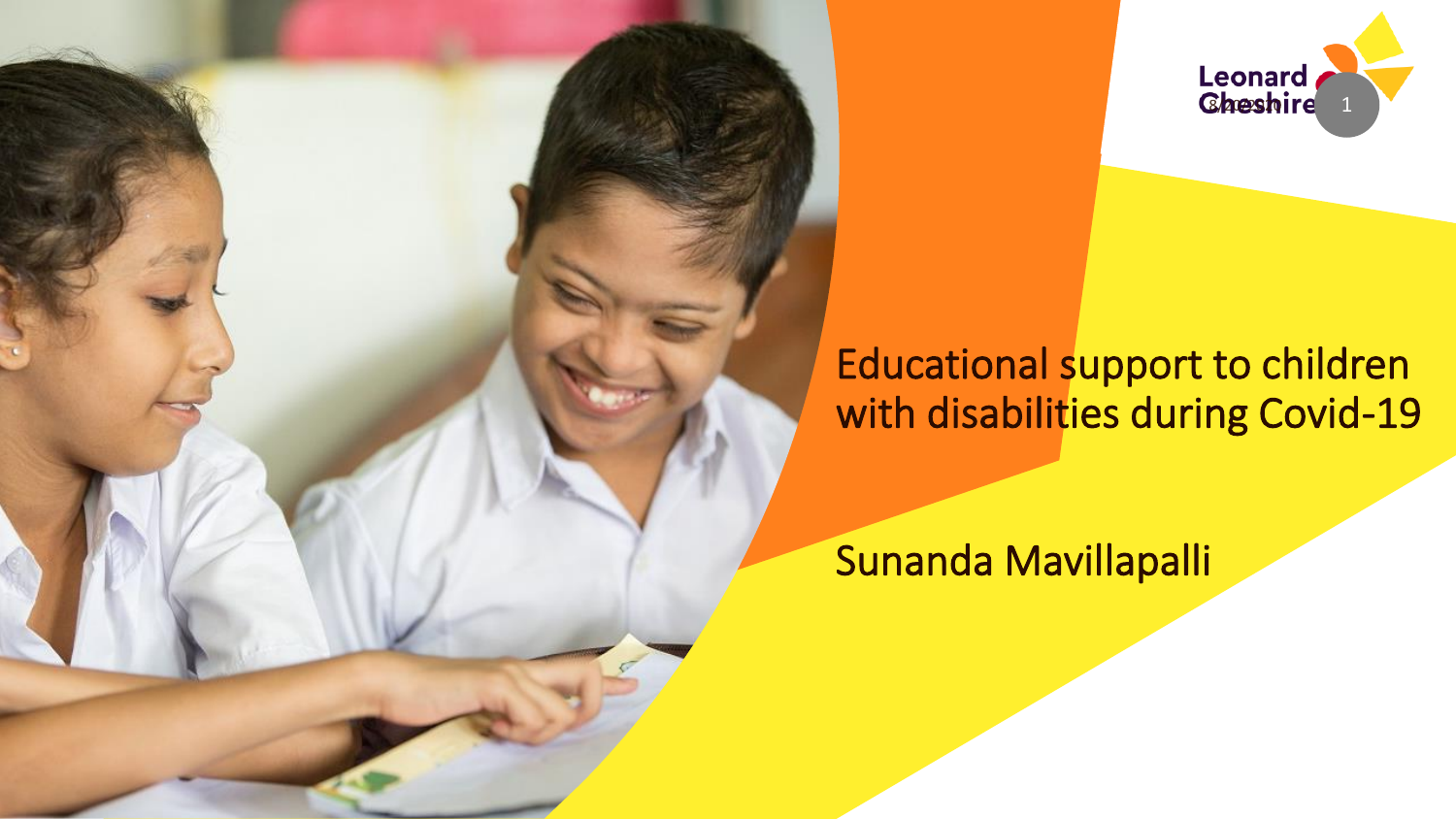



## Educational support to children with disabilities during Covid-19

Sunanda Mavillapalli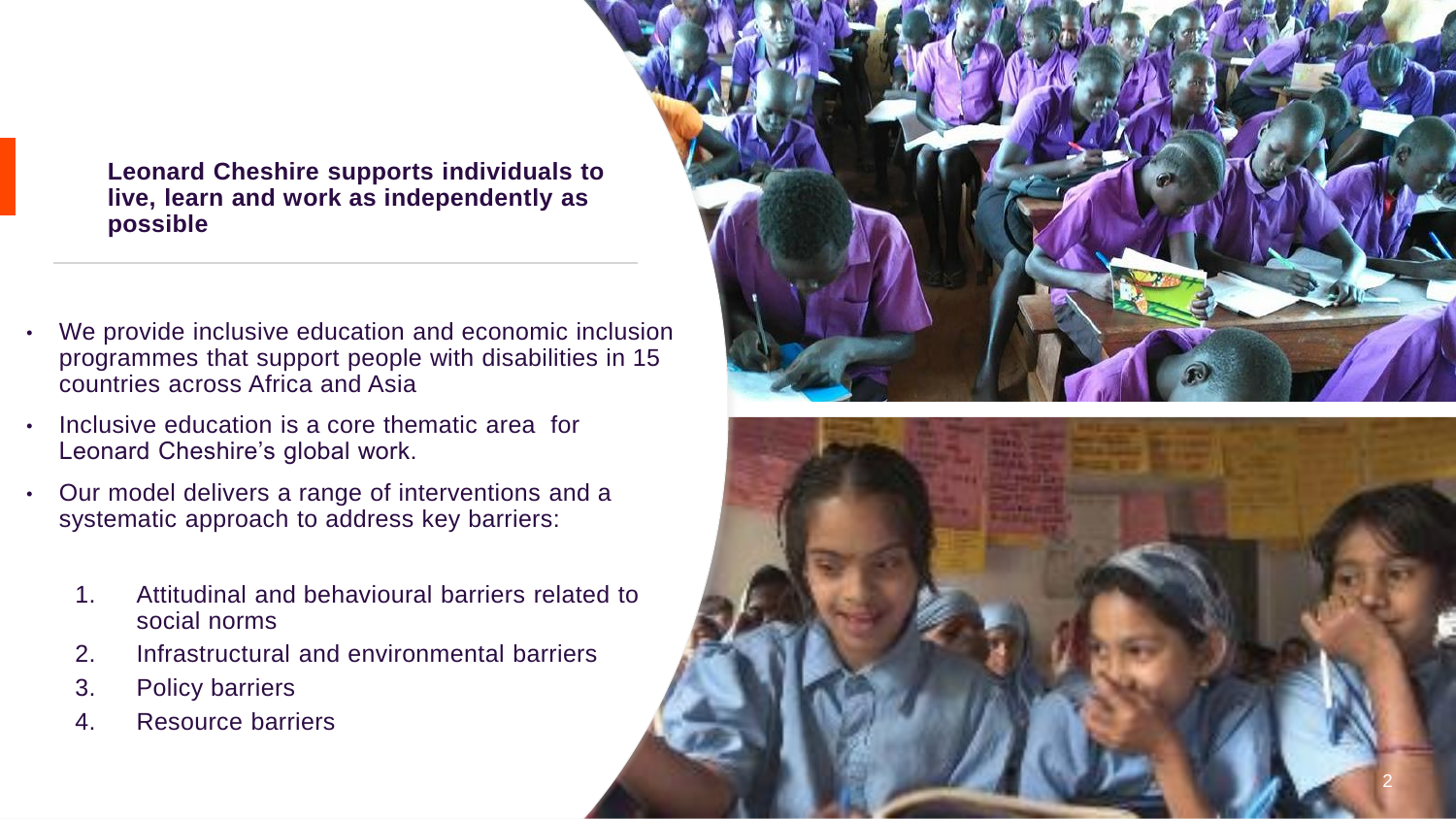**Leonard Cheshire supports individuals to live, learn and work as independently as possible** 

- We provide inclusive education and economic inclusion programmes that support people with disabilities in 15 countries across Africa and Asia
- Inclusive education is a core thematic area for Leonard Cheshire's global work.
- Our model delivers a range of interventions and a systematic approach to address key barriers:
	- 1. Attitudinal and behavioural barriers related to social norms
	- 2. Infrastructural and environmental barriers
	- 3. Policy barriers
	- 4. Resource barriers



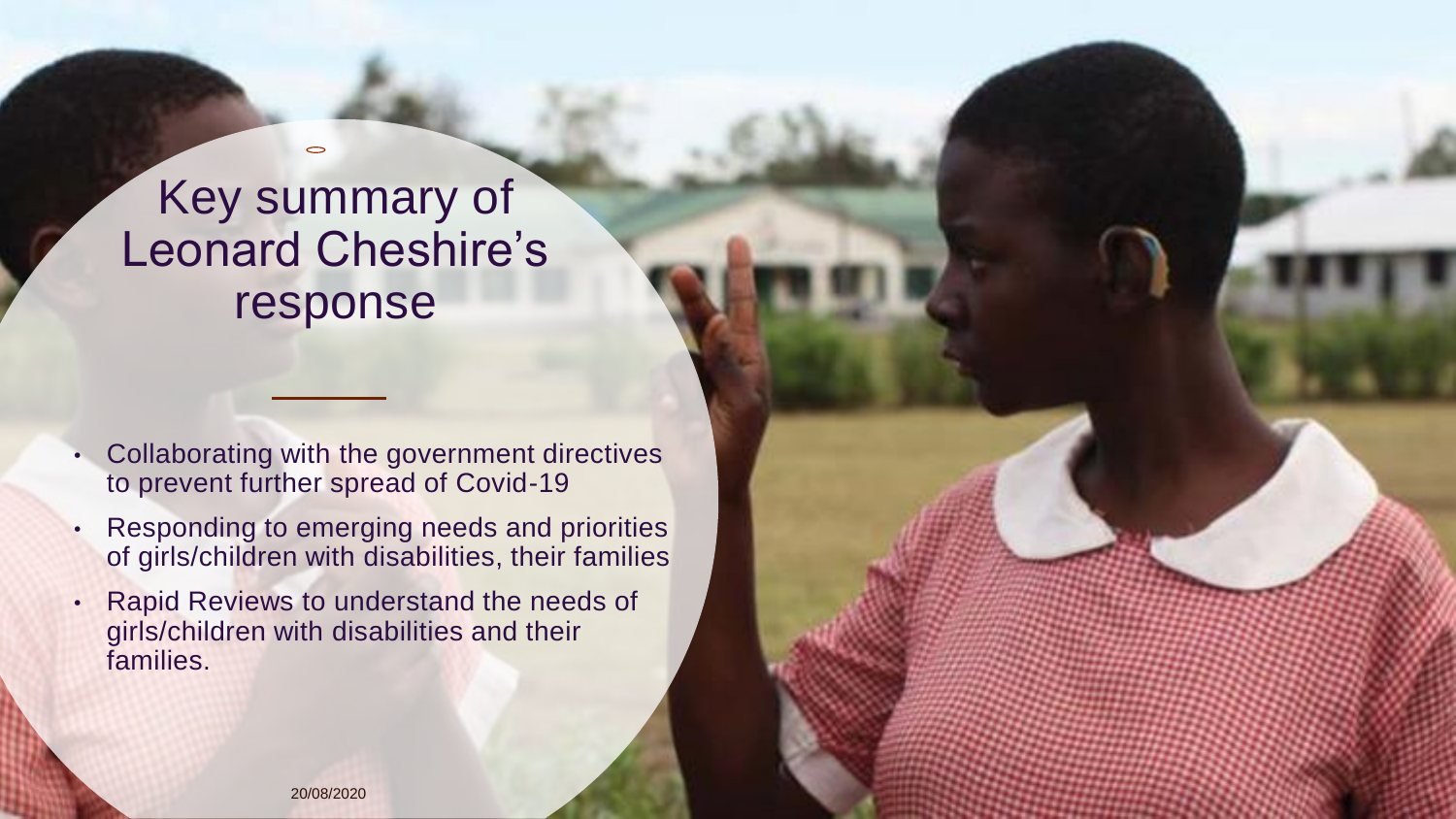## Key summary of Leonard Cheshire's response

 $\bigcirc$ 

- Collaborating with the government directives to prevent further spread of Covid-19
- Responding to emerging needs and priorities of girls/children with disabilities, their families
- Rapid Reviews to understand the needs of girls/children with disabilities and their families.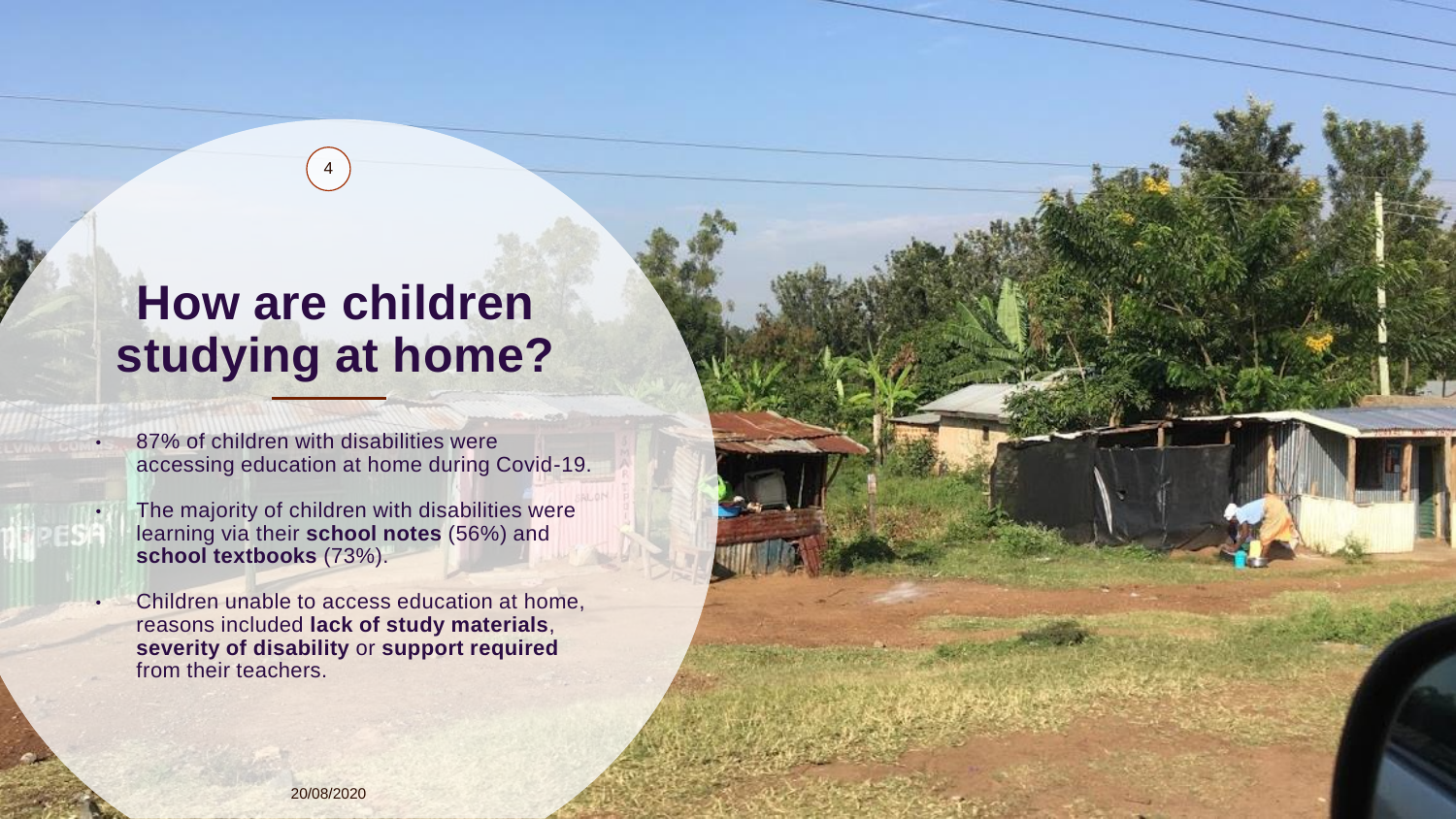## **How are children studying at home?**

4

- 87% of children with disabilities were accessing education at home during Covid-19.
- The majority of children with disabilities were learning via their **school notes** (56%) and **school textbooks** (73%).
- Children unable to access education at home, reasons included **lack of study materials**, **severity of disability** or **support required**  from their teachers.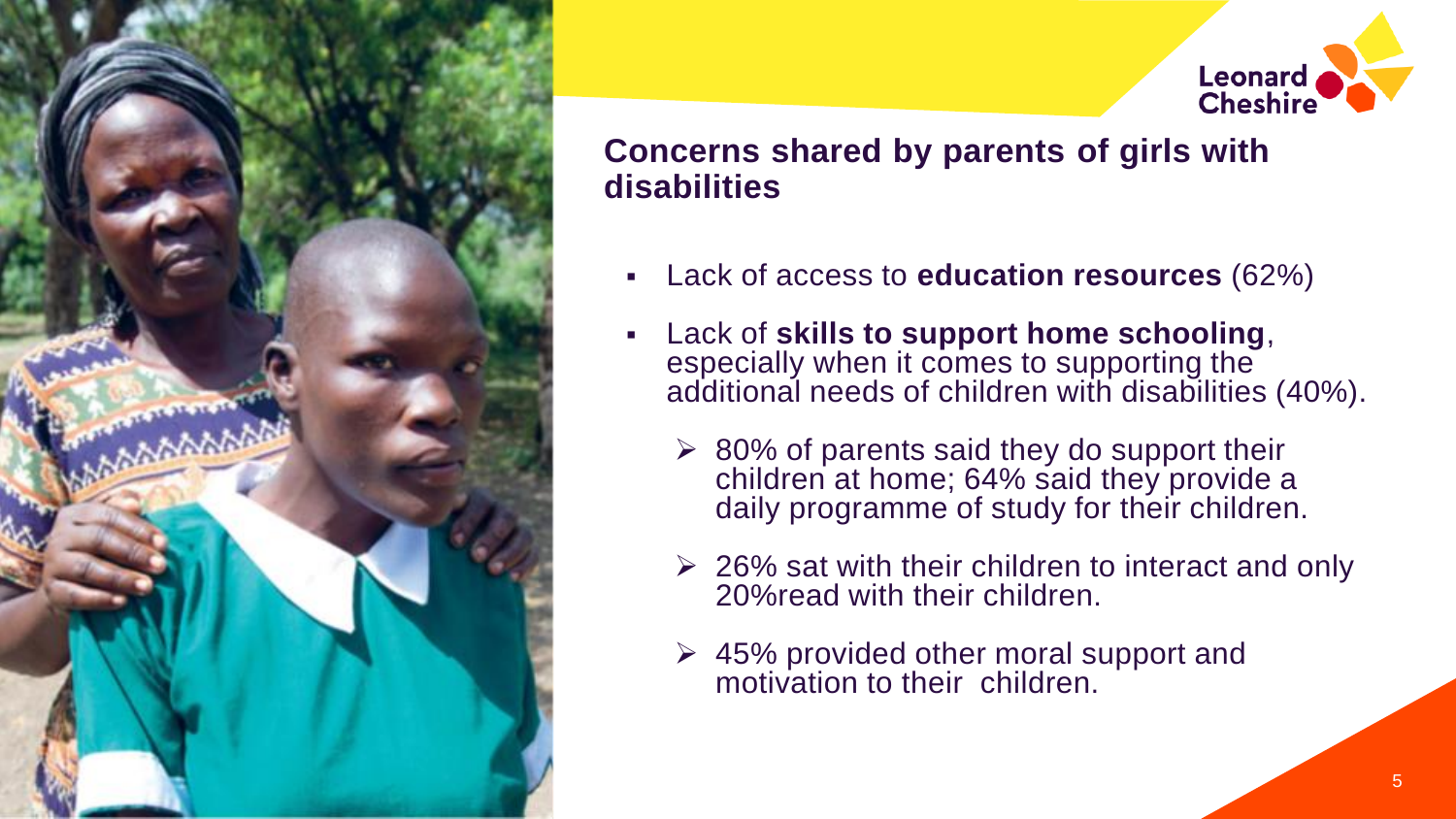

# **Leonard Cheshire**

### **Concerns shared by parents of girls with disabilities**

- Lack of access to **education resources** (62%)
- Lack of **skills to support home schooling**, especially when it comes to supporting the additional needs of children with disabilities (40%).
	- $\geq$  80% of parents said they do support their children at home; 64% said they provide a daily programme of study for their children.
	- $\geq$  26% sat with their children to interact and only 20%read with their children.
	- ➢ 45% provided other moral support and motivation to their children.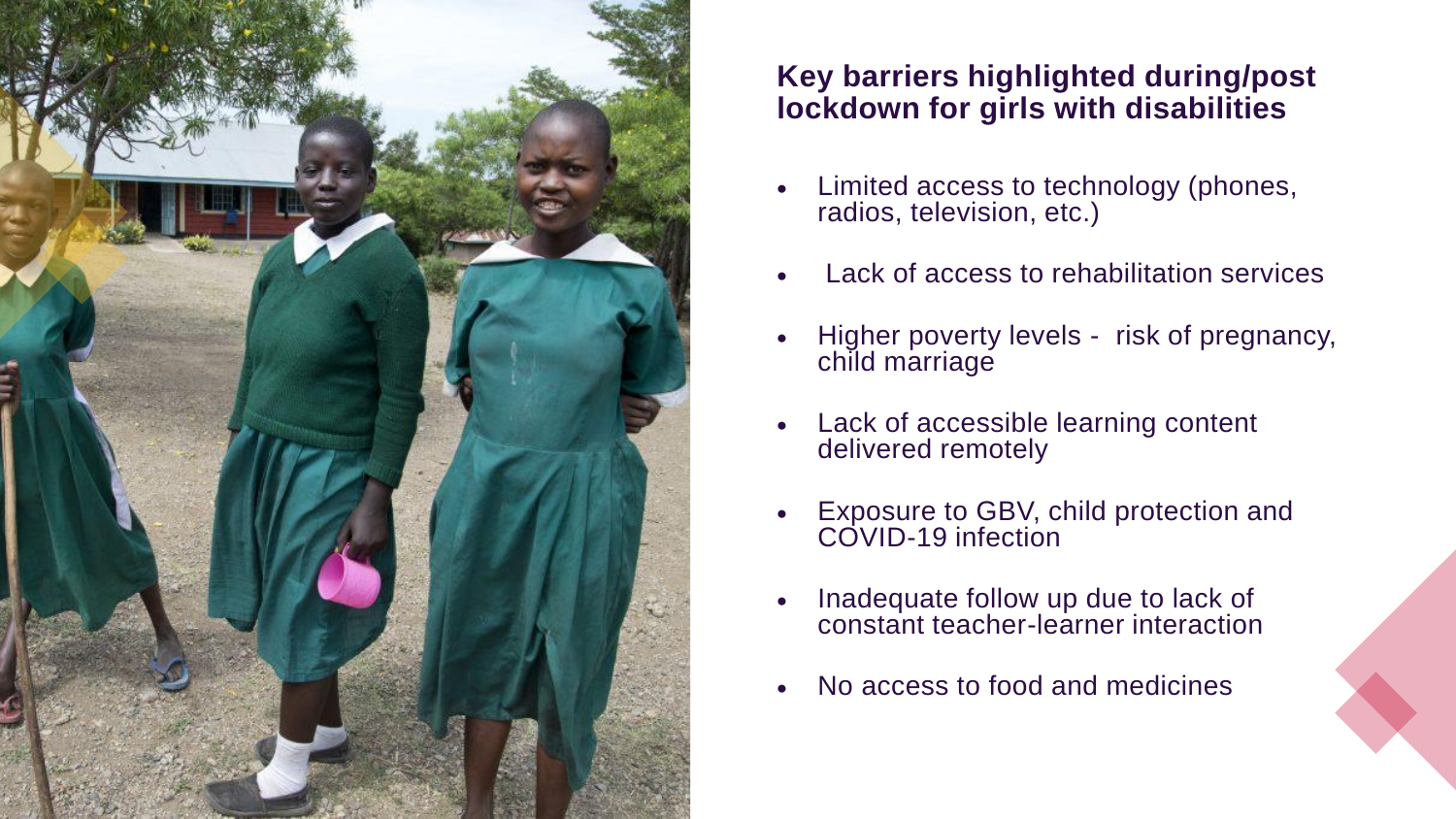

#### **Key barriers highlighted during/post lockdown for girls with disabilities**

- Limited access to technology (phones, radios, television, etc.)
- Lack of access to rehabilitation services
- Higher poverty levels risk of pregnancy, child marriage
- Lack of accessible learning content delivered remotely
- Exposure to GBV, child protection and COVID-19 infection
- Inadequate follow up due to lack of constant teacher-learner interaction
- No access to food and medicines

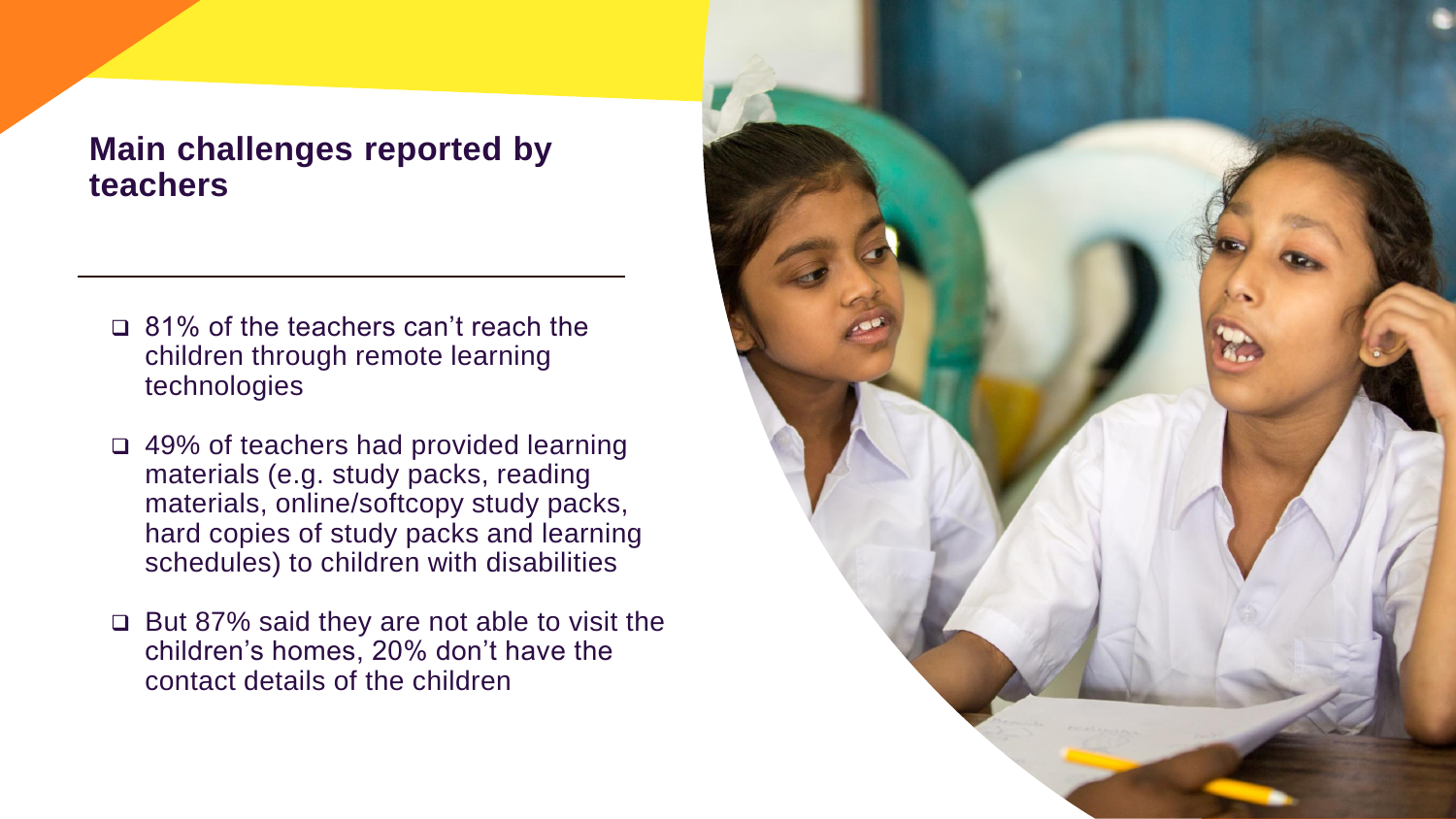#### **Main challenges reported by teachers**

- ❑ 81% of the teachers can't reach the children through remote learning technologies
- ❑ 49% of teachers had provided learning materials (e.g. study packs, reading materials, online/softcopy study packs, hard copies of study packs and learning schedules) to children with disabilities
- ❑ But 87% said they are not able to visit the children's homes, 20% don't have the contact details of the children

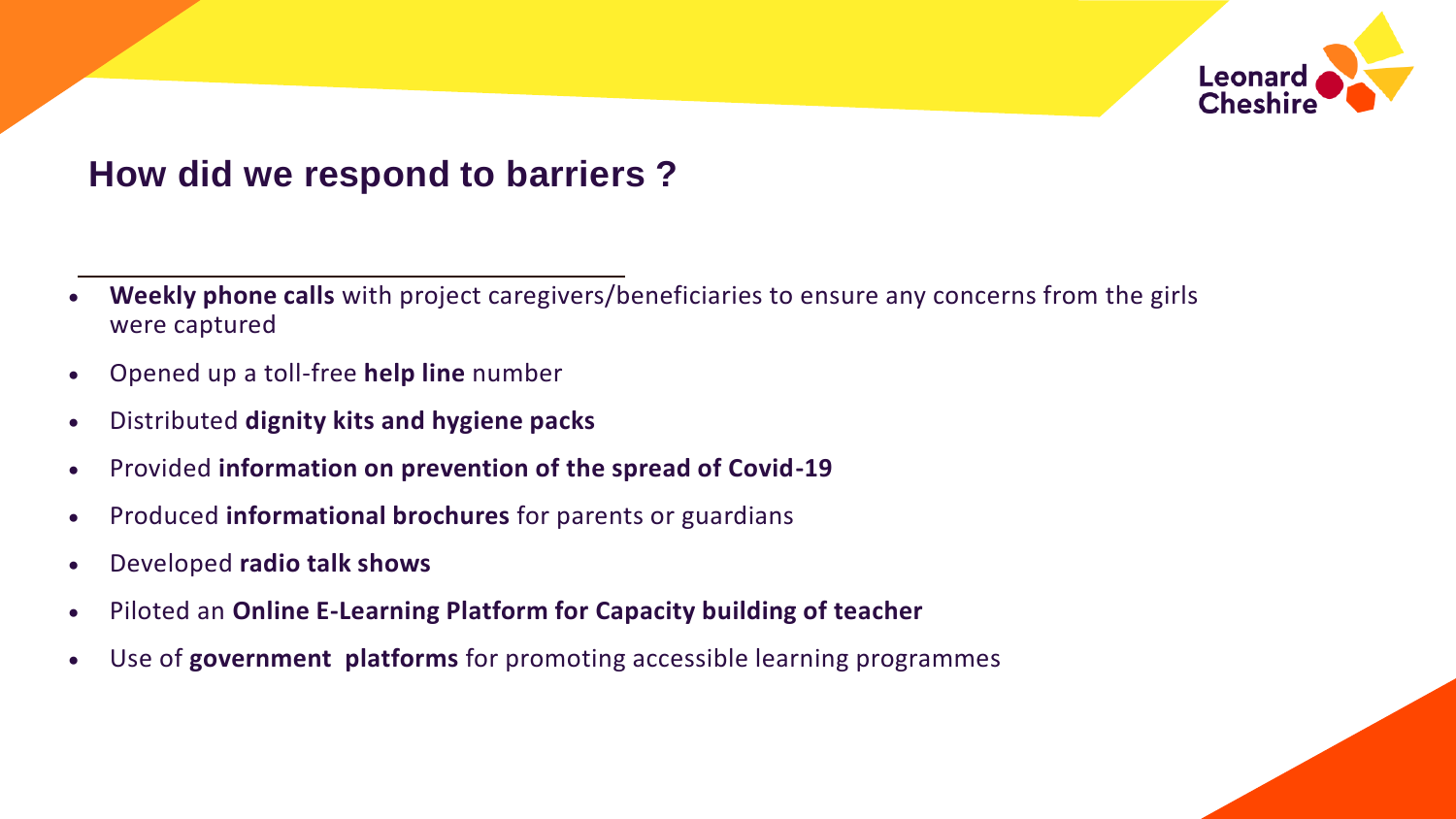

## **How did we respond to barriers ?**

- **Weekly phone calls** with project caregivers/beneficiaries to ensure any concerns from the girls were captured
- Opened up a toll-free **help line** number
- Distributed **dignity kits and hygiene packs**
- Provided **information on prevention of the spread of Covid-19**
- Produced **informational brochures** for parents or guardians
- Developed **radio talk shows**
- Piloted an **Online E-Learning Platform for Capacity building of teacher**
- Use of **government platforms** for promoting accessible learning programmes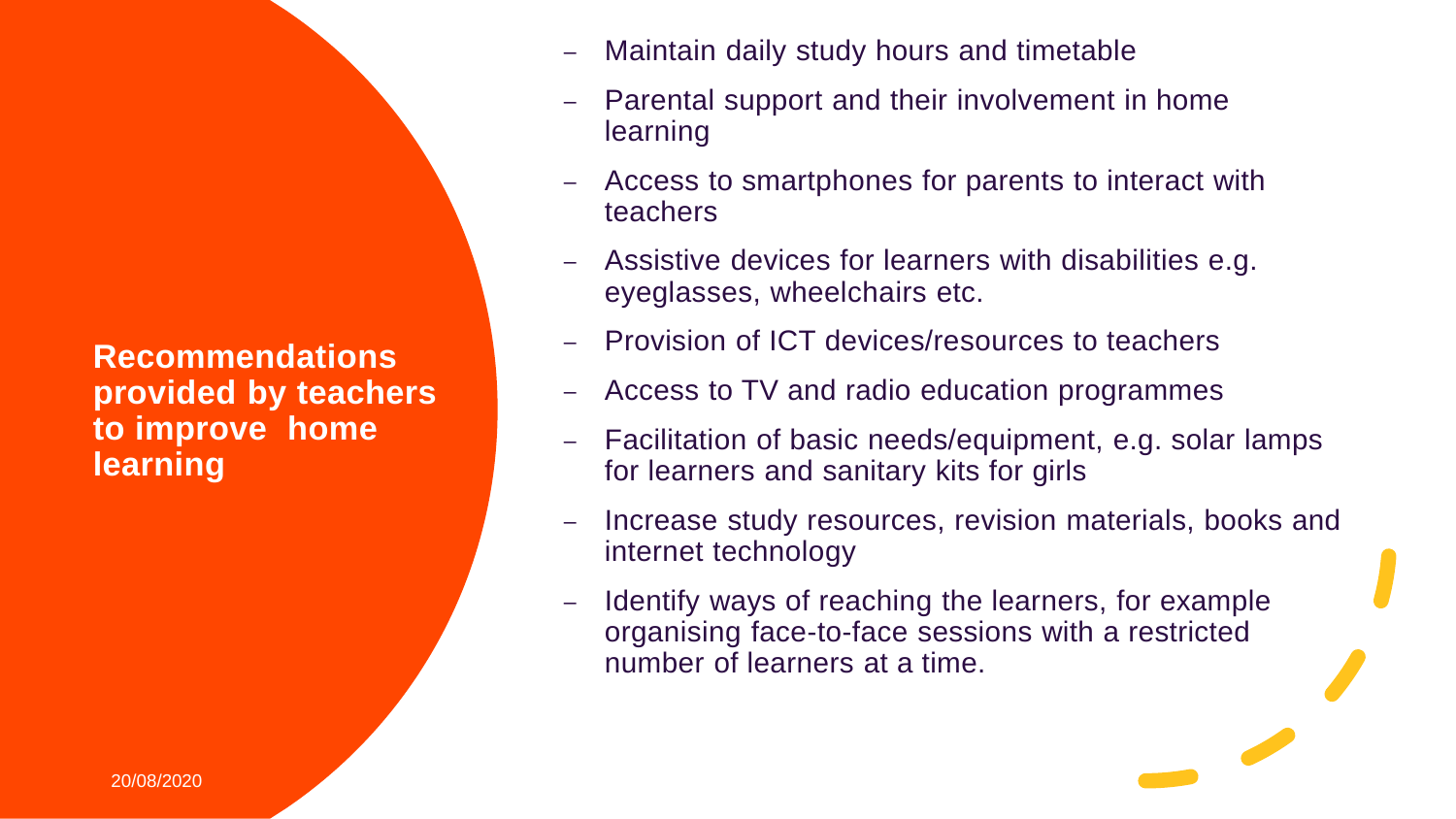**Recommendations provided by teachers to improve home learning** 

- Maintain daily study hours and timetable
- Parental support and their involvement in home learning
- Access to smartphones for parents to interact with teachers
- Assistive devices for learners with disabilities e.g. eyeglasses, wheelchairs etc.
- Provision of ICT devices/resources to teachers
- Access to TV and radio education programmes
- Facilitation of basic needs/equipment, e.g. solar lamps for learners and sanitary kits for girls
- Increase study resources, revision materials, books and internet technology
- Identify ways of reaching the learners, for example organising face-to-face sessions with a restricted number of learners at a time.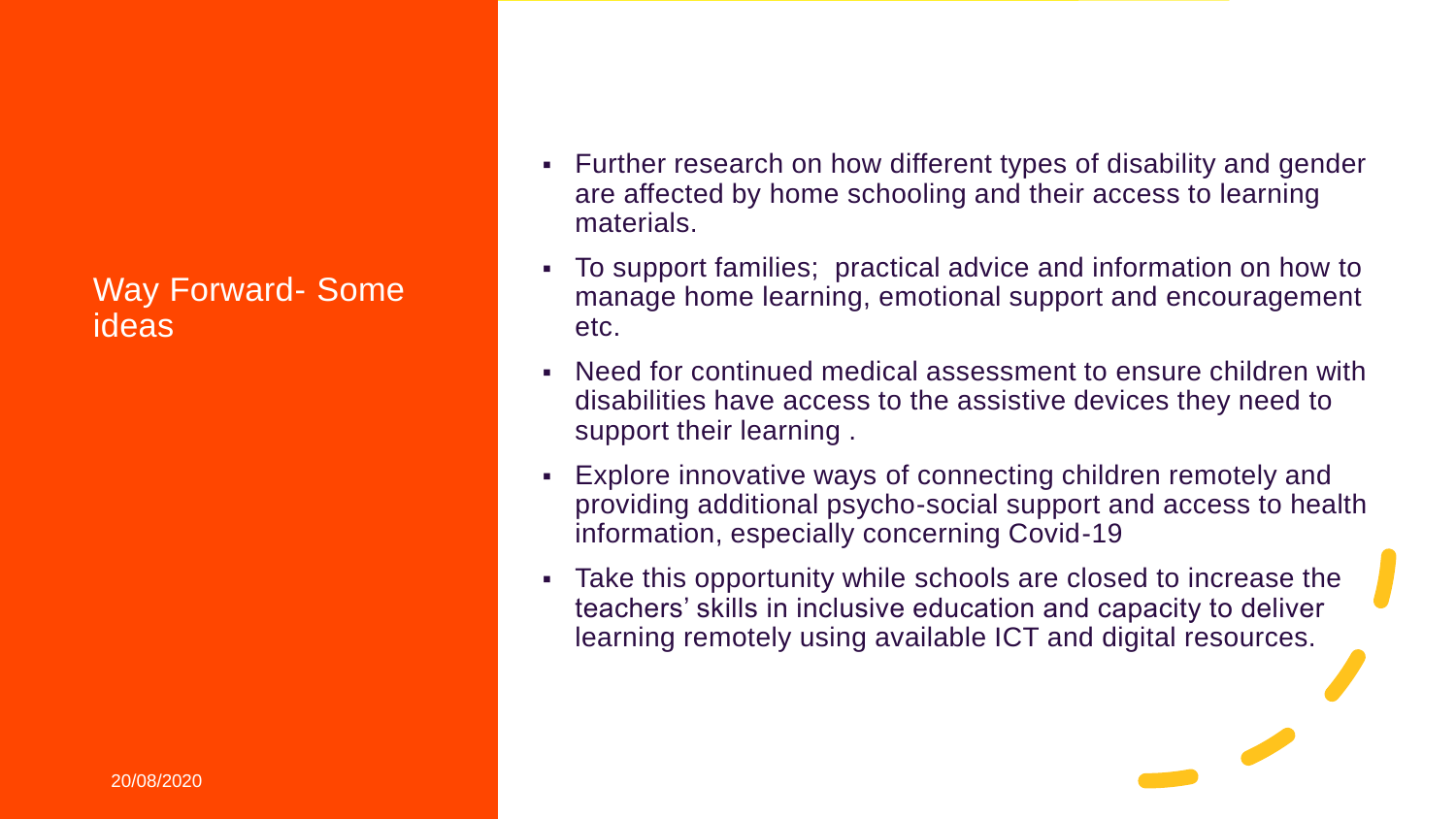#### Way Forward- Some ideas

- Further research on how different types of disability and gender are affected by home schooling and their access to learning materials.
- To support families; practical advice and information on how to manage home learning, emotional support and encouragement etc.
- Need for continued medical assessment to ensure children with disabilities have access to the assistive devices they need to support their learning .
- **Explore innovative ways of connecting children remotely and** providing additional psycho-social support and access to health information, especially concerning Covid-19
- **Take this opportunity while schools are closed to increase the** teachers' skills in inclusive education and capacity to deliver learning remotely using available ICT and digital resources.